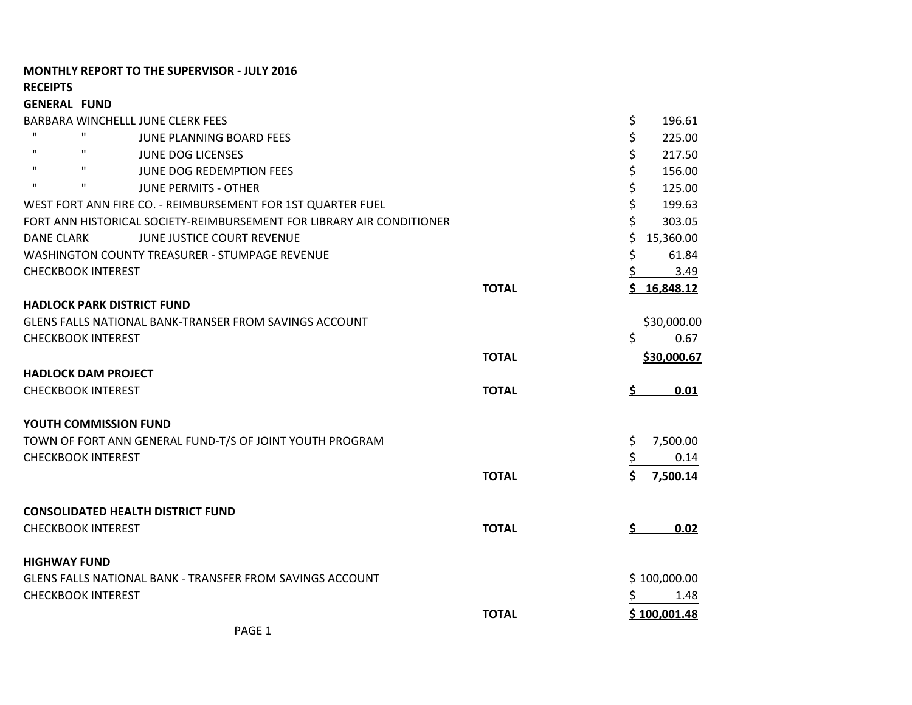## **MONTHLY REPORT TO THE SUPERVISOR - JULY 2016**

**RECEIPTS**

| <b>GENERAL FUND</b>                                                   |              |                 |
|-----------------------------------------------------------------------|--------------|-----------------|
| BARBARA WINCHELLL JUNE CLERK FEES                                     |              | \$<br>196.61    |
| $\mathbf{H}$<br>$\mathbf{H}$<br><b>JUNE PLANNING BOARD FEES</b>       |              | \$<br>225.00    |
| $\mathbf{H}$<br>$\mathbf H$<br><b>JUNE DOG LICENSES</b>               |              | \$<br>217.50    |
| $\mathbf{H}$<br>$\mathbf H$<br><b>JUNE DOG REDEMPTION FEES</b>        |              | \$<br>156.00    |
| $\mathbf{H}$<br>п<br><b>JUNE PERMITS - OTHER</b>                      |              | \$<br>125.00    |
| WEST FORT ANN FIRE CO. - REIMBURSEMENT FOR 1ST QUARTER FUEL           |              | \$<br>199.63    |
| FORT ANN HISTORICAL SOCIETY-REIMBURSEMENT FOR LIBRARY AIR CONDITIONER |              | \$<br>303.05    |
| <b>DANE CLARK</b><br>JUNE JUSTICE COURT REVENUE                       |              | Ś<br>15,360.00  |
| <b>WASHINGTON COUNTY TREASURER - STUMPAGE REVENUE</b>                 |              | \$<br>61.84     |
| <b>CHECKBOOK INTEREST</b>                                             |              | 3.49            |
|                                                                       | <b>TOTAL</b> | 16,848.12<br>Ś. |
| <b>HADLOCK PARK DISTRICT FUND</b>                                     |              |                 |
| <b>GLENS FALLS NATIONAL BANK-TRANSER FROM SAVINGS ACCOUNT</b>         |              | \$30,000.00     |
| <b>CHECKBOOK INTEREST</b>                                             |              | \$<br>0.67      |
|                                                                       | <b>TOTAL</b> | \$30,000.67     |
| <b>HADLOCK DAM PROJECT</b>                                            |              |                 |
| <b>CHECKBOOK INTEREST</b>                                             | <b>TOTAL</b> | 0.01            |
| YOUTH COMMISSION FUND                                                 |              |                 |
| TOWN OF FORT ANN GENERAL FUND-T/S OF JOINT YOUTH PROGRAM              |              | \$<br>7,500.00  |
| <b>CHECKBOOK INTEREST</b>                                             |              | \$<br>0.14      |
|                                                                       |              | \$              |
|                                                                       | <b>TOTAL</b> | 7,500.14        |
| <b>CONSOLIDATED HEALTH DISTRICT FUND</b>                              |              |                 |
| <b>CHECKBOOK INTEREST</b>                                             | <b>TOTAL</b> | 0.02<br>S       |
|                                                                       |              |                 |
| <b>HIGHWAY FUND</b>                                                   |              |                 |
| GLENS FALLS NATIONAL BANK - TRANSFER FROM SAVINGS ACCOUNT             |              | \$100,000.00    |
| <b>CHECKBOOK INTEREST</b>                                             |              | 1.48            |
|                                                                       | <b>TOTAL</b> | \$100,001.48    |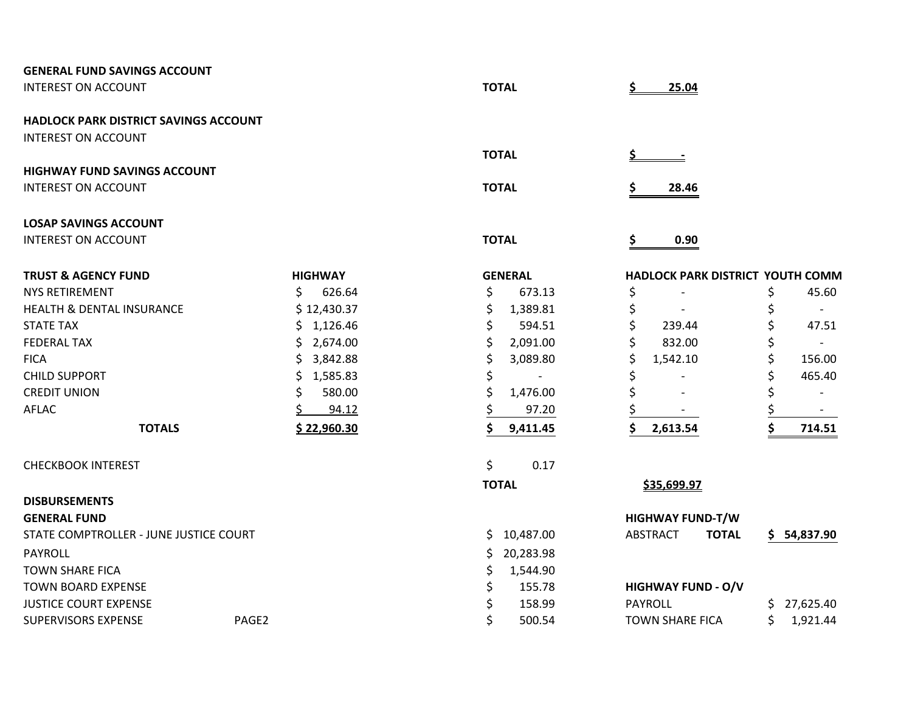| <b>GENERAL FUND SAVINGS ACCOUNT</b>          |                 |                  |                                  |                          |
|----------------------------------------------|-----------------|------------------|----------------------------------|--------------------------|
| <b>INTEREST ON ACCOUNT</b>                   |                 | <b>TOTAL</b>     | 25.04                            |                          |
| <b>HADLOCK PARK DISTRICT SAVINGS ACCOUNT</b> |                 |                  |                                  |                          |
| <b>INTEREST ON ACCOUNT</b>                   |                 |                  |                                  |                          |
|                                              |                 | <b>TOTAL</b>     | <u>s.</u>                        |                          |
| <b>HIGHWAY FUND SAVINGS ACCOUNT</b>          |                 |                  |                                  |                          |
| <b>INTEREST ON ACCOUNT</b>                   |                 | <b>TOTAL</b>     | \$<br>28.46                      |                          |
| <b>LOSAP SAVINGS ACCOUNT</b>                 |                 |                  |                                  |                          |
| <b>INTEREST ON ACCOUNT</b>                   |                 | <b>TOTAL</b>     | \$<br>0.90                       |                          |
| <b>TRUST &amp; AGENCY FUND</b>               | <b>HIGHWAY</b>  | <b>GENERAL</b>   | HADLOCK PARK DISTRICT YOUTH COMM |                          |
| <b>NYS RETIREMENT</b>                        | \$<br>626.64    | \$<br>673.13     | \$                               | 45.60<br>\$              |
| <b>HEALTH &amp; DENTAL INSURANCE</b>         | \$12,430.37     | \$<br>1,389.81   |                                  | $\overline{a}$           |
| <b>STATE TAX</b>                             | \$1,126.46      | 594.51           | 239.44                           | 47.51                    |
| <b>FEDERAL TAX</b>                           | \$2,674.00      | \$<br>2,091.00   | 832.00                           |                          |
| <b>FICA</b>                                  | \$3,842.88      | 3,089.80         | 1,542.10                         | 156.00                   |
| <b>CHILD SUPPORT</b>                         | \$.<br>1,585.83 |                  |                                  | 465.40                   |
| <b>CREDIT UNION</b>                          | \$<br>580.00    | 1,476.00         |                                  | $\overline{\phantom{a}}$ |
| AFLAC                                        | 94.12           | 97.20            |                                  | $\overline{\phantom{a}}$ |
| <b>TOTALS</b>                                | \$22,960.30     | 9,411.45         | 2,613.54                         | \$<br>714.51             |
| <b>CHECKBOOK INTEREST</b>                    |                 | \$<br>0.17       |                                  |                          |
|                                              |                 | <b>TOTAL</b>     | \$35,699.97                      |                          |
| <b>DISBURSEMENTS</b>                         |                 |                  |                                  |                          |
| <b>GENERAL FUND</b>                          |                 |                  | <b>HIGHWAY FUND-T/W</b>          |                          |
| STATE COMPTROLLER - JUNE JUSTICE COURT       |                 | 10,487.00<br>\$. | <b>ABSTRACT</b><br><b>TOTAL</b>  | \$54,837.90              |
| PAYROLL                                      |                 | 20,283.98<br>S.  |                                  |                          |
| <b>TOWN SHARE FICA</b>                       |                 | 1,544.90<br>\$   |                                  |                          |
| <b>TOWN BOARD EXPENSE</b>                    |                 | 155.78<br>\$     | <b>HIGHWAY FUND - O/V</b>        |                          |
| <b>JUSTICE COURT EXPENSE</b>                 |                 | 158.99           | <b>PAYROLL</b>                   | 27,625.40<br>S.          |
| <b>SUPERVISORS EXPENSE</b>                   | PAGE2           | 500.54           | <b>TOWN SHARE FICA</b>           | \$<br>1,921.44           |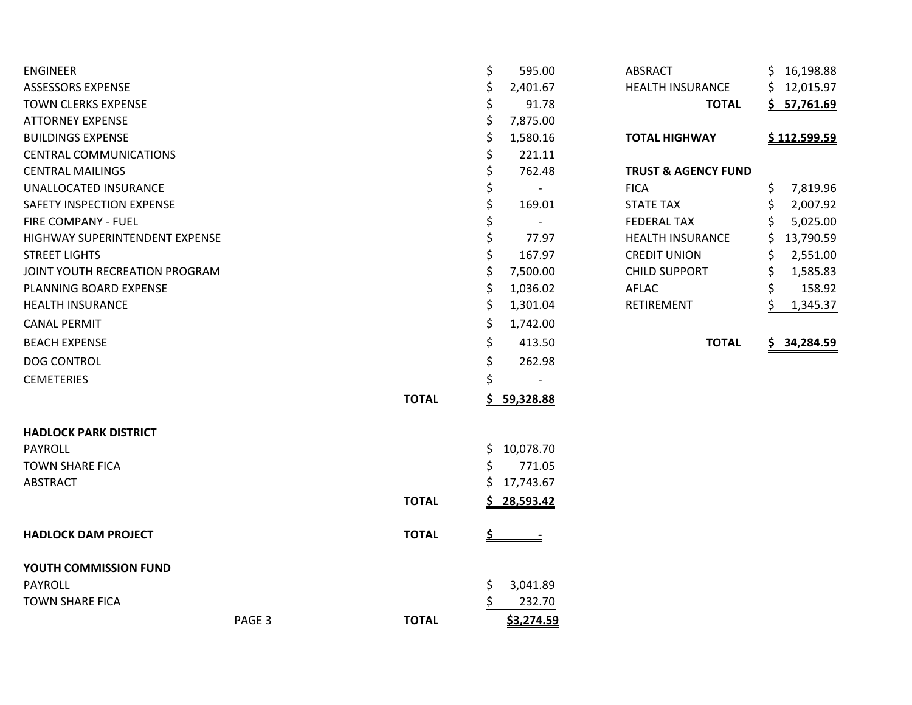| <b>ENGINEER</b>                |        |              | \$        | 595.00     | <b>ABSRACT</b>                 | \$16,198.88     |
|--------------------------------|--------|--------------|-----------|------------|--------------------------------|-----------------|
| <b>ASSESSORS EXPENSE</b>       |        |              | \$        | 2,401.67   | <b>HEALTH INSURANCE</b>        | \$12,015.97     |
| <b>TOWN CLERKS EXPENSE</b>     |        |              | \$        | 91.78      | <b>TOTAL</b>                   | \$57,761.69     |
| <b>ATTORNEY EXPENSE</b>        |        |              | \$        | 7,875.00   |                                |                 |
| <b>BUILDINGS EXPENSE</b>       |        |              | Ś         | 1,580.16   | <b>TOTAL HIGHWAY</b>           | \$112,599.59    |
| <b>CENTRAL COMMUNICATIONS</b>  |        |              |           | 221.11     |                                |                 |
| <b>CENTRAL MAILINGS</b>        |        |              |           | 762.48     | <b>TRUST &amp; AGENCY FUND</b> |                 |
| UNALLOCATED INSURANCE          |        |              |           | $\sim$ $-$ | <b>FICA</b>                    | \$<br>7,819.96  |
| SAFETY INSPECTION EXPENSE      |        |              | \$        | 169.01     | <b>STATE TAX</b>               | \$<br>2,007.92  |
| <b>FIRE COMPANY - FUEL</b>     |        |              |           |            | <b>FEDERAL TAX</b>             | 5,025.00<br>S   |
| HIGHWAY SUPERINTENDENT EXPENSE |        |              |           | 77.97      | <b>HEALTH INSURANCE</b>        | 13,790.59<br>S. |
| <b>STREET LIGHTS</b>           |        |              |           | 167.97     | <b>CREDIT UNION</b>            | 2,551.00<br>S   |
| JOINT YOUTH RECREATION PROGRAM |        |              | \$        | 7,500.00   | <b>CHILD SUPPORT</b>           | \$<br>1,585.83  |
| PLANNING BOARD EXPENSE         |        |              | \$        | 1,036.02   | AFLAC                          | \$<br>158.92    |
| <b>HEALTH INSURANCE</b>        |        |              | \$        | 1,301.04   | RETIREMENT                     | Ś.<br>1,345.37  |
| <b>CANAL PERMIT</b>            |        |              | \$        | 1,742.00   |                                |                 |
| <b>BEACH EXPENSE</b>           |        |              | \$        | 413.50     | <b>TOTAL</b>                   | \$34,284.59     |
| <b>DOG CONTROL</b>             |        |              | \$        | 262.98     |                                |                 |
| <b>CEMETERIES</b>              |        |              | \$        |            |                                |                 |
|                                |        | <b>TOTAL</b> |           | 59,328.88  |                                |                 |
| <b>HADLOCK PARK DISTRICT</b>   |        |              |           |            |                                |                 |
| PAYROLL                        |        |              | \$        | 10,078.70  |                                |                 |
| TOWN SHARE FICA                |        |              | S         | 771.05     |                                |                 |
| <b>ABSTRACT</b>                |        |              |           | 17,743.67  |                                |                 |
|                                |        | <b>TOTAL</b> |           | 28,593.42  |                                |                 |
| <b>HADLOCK DAM PROJECT</b>     |        | <b>TOTAL</b> | <u>\$</u> |            |                                |                 |
| YOUTH COMMISSION FUND          |        |              |           |            |                                |                 |
| PAYROLL                        |        |              | \$        | 3,041.89   |                                |                 |
| <b>TOWN SHARE FICA</b>         |        |              |           | 232.70     |                                |                 |
|                                | PAGE 3 | <b>TOTAL</b> |           | \$3,274.59 |                                |                 |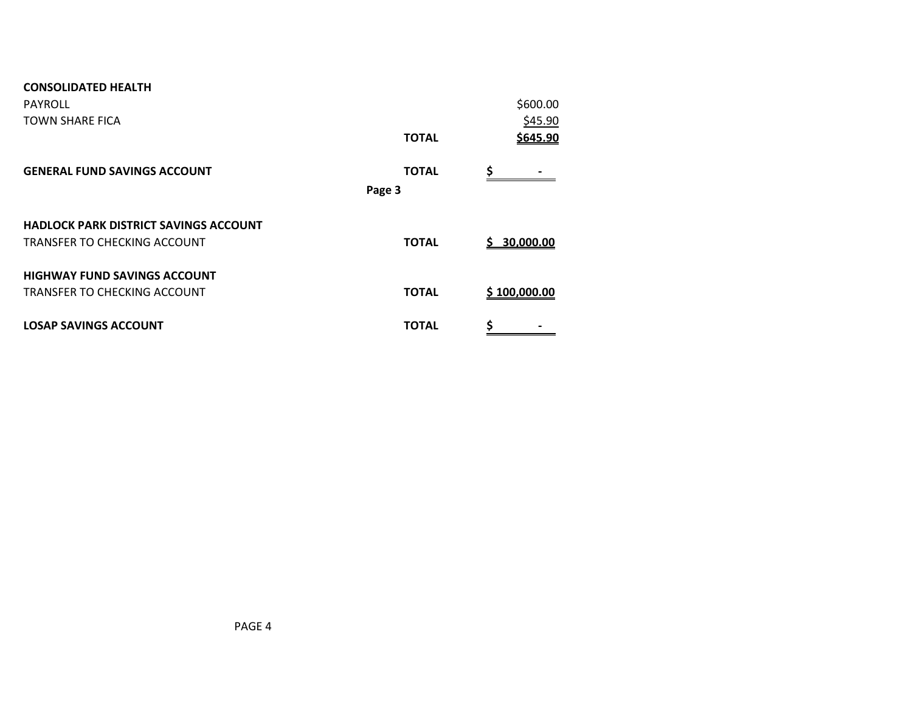| <b>CONSOLIDATED HEALTH</b>                   |              |              |
|----------------------------------------------|--------------|--------------|
| <b>PAYROLL</b>                               |              | \$600.00     |
| TOWN SHARE FICA                              |              | \$45.90      |
|                                              | <b>TOTAL</b> | \$645.90     |
| <b>GENERAL FUND SAVINGS ACCOUNT</b>          | <b>TOTAL</b> | Ś            |
|                                              | Page 3       |              |
| <b>HADLOCK PARK DISTRICT SAVINGS ACCOUNT</b> |              |              |
| TRANSFER TO CHECKING ACCOUNT                 | <b>TOTAL</b> | \$30,000.00  |
| <b>HIGHWAY FUND SAVINGS ACCOUNT</b>          |              |              |
| TRANSFER TO CHECKING ACCOUNT                 | <b>TOTAL</b> | \$100,000.00 |
| <b>LOSAP SAVINGS ACCOUNT</b>                 | <b>TOTAL</b> | \$           |